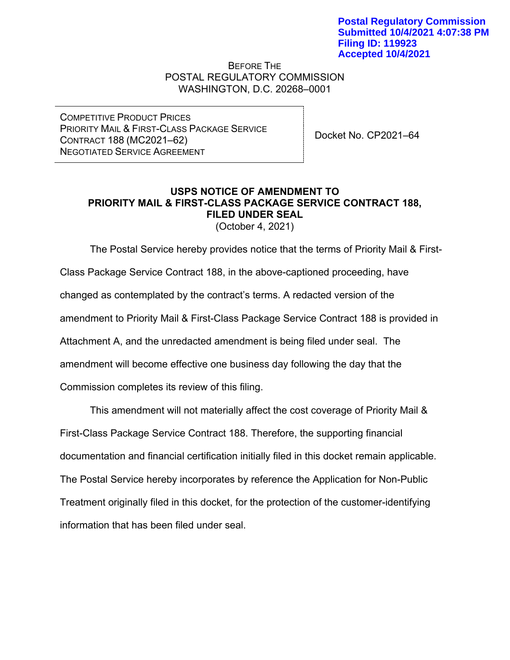BEFORE THE POSTAL REGULATORY COMMISSION WASHINGTON, D.C. 20268–0001

COMPETITIVE PRODUCT PRICES PRIORITY MAIL & FIRST-CLASS PACKAGE SERVICE CONTRACT 188 (MC2021–62) NEGOTIATED SERVICE AGREEMENT

Docket No. CP2021–64

## **USPS NOTICE OF AMENDMENT TO PRIORITY MAIL & FIRST-CLASS PACKAGE SERVICE CONTRACT 188, FILED UNDER SEAL**

(October 4, 2021)

The Postal Service hereby provides notice that the terms of Priority Mail & First-Class Package Service Contract 188, in the above-captioned proceeding, have changed as contemplated by the contract's terms. A redacted version of the amendment to Priority Mail & First-Class Package Service Contract 188 is provided in Attachment A, and the unredacted amendment is being filed under seal. The amendment will become effective one business day following the day that the Commission completes its review of this filing.

This amendment will not materially affect the cost coverage of Priority Mail & First-Class Package Service Contract 188. Therefore, the supporting financial documentation and financial certification initially filed in this docket remain applicable. The Postal Service hereby incorporates by reference the Application for Non-Public Treatment originally filed in this docket, for the protection of the customer-identifying information that has been filed under seal.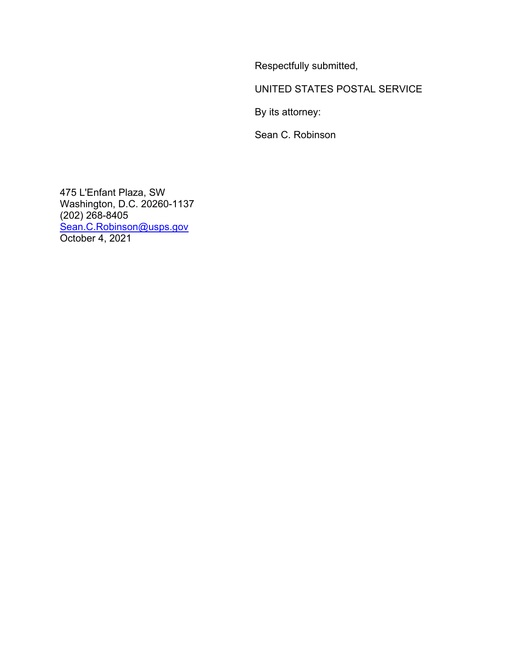Respectfully submitted,

UNITED STATES POSTAL SERVICE

By its attorney:

Sean C. Robinson

475 L'Enfant Plaza, SW Washington, D.C. 20260-1137 (202) 268-8405 [Sean.C.Robinson@usps.gov](mailto:Sean.C.Robinson@usps.gov) October 4, 2021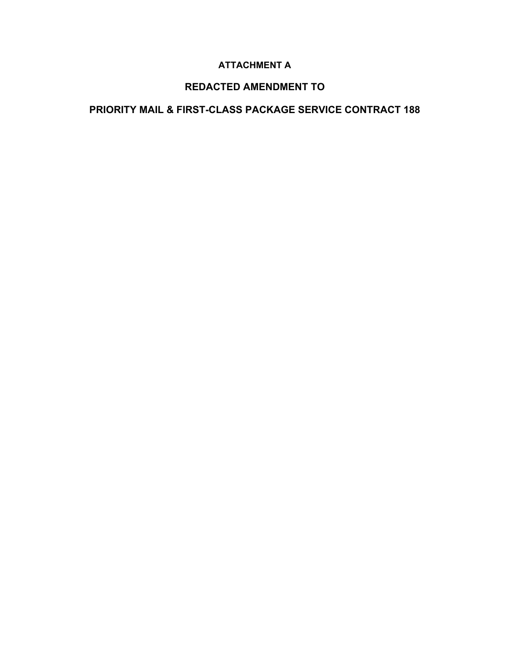### **ATTACHMENT A**

### **REDACTED AMENDMENT TO**

## **PRIORITY MAIL & FIRST-CLASS PACKAGE SERVICE CONTRACT 188**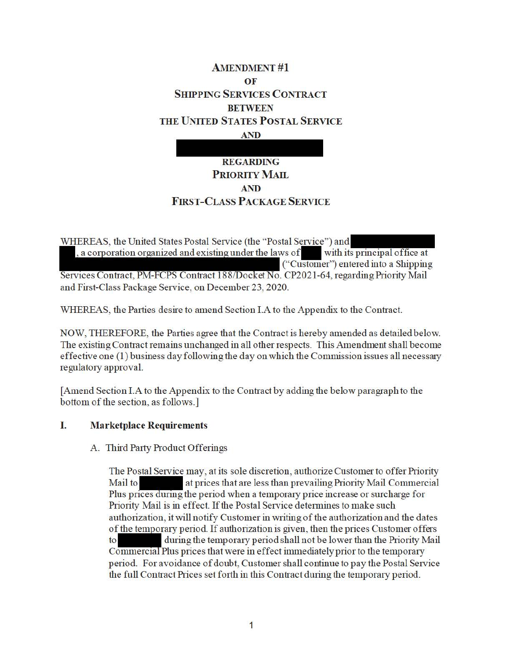# **AMENDMENT #1 OF SHIPPING SERVICES CONTRACT BETWEEN THE U NITED STATES POSTAL SERVICE AND**

# **REGARDING PRIORITY MAIL AND FIRST-CLASS PACKAGE SERVICE**

WHEREAS, the United States Postal Service (the "Postal Service") and  $a$ , a corporation organized and existing under the laws of with its principal office at ("Customer") entered into a Shipping Services Contract, PM-FCPS Contract 188/Docket No. CP2021-64, regarding Priority Mail and First-Class Package Service, on December 23, 2020.

WHEREAS, the Parties desire to amend Section I.A to the Appendix to the Contract.

NOW, THEREFORE, the Parties agree that the Contract is hereby amended as detailed below. The existing Contract remains unchanged in all other respects. This Amendment shall become effective one (1) business day following the day on which the Commission issues all necessaiy regulatory approval.

[ Amend Section I.A to the Appendix to the Contract by adding the below paragraph to the bottom of the section, as follows.]

#### I. **Marketplace Requirements**

#### A. Third Party Product Offerings

The Postal Service may, at its sole discretion, authorize Customer to offer Priority Mail to at prices that are less than prevailing Priority Mail Commercial Plus prices during the period when a temporary price increase or surcharge for Priority Mail is in effect. If the Postal Service determines to make such authorization, it will notify Customer in writing of the authorization and the dates of the temporary period. If authorization is given, then the prices Customer offers to during the temporary period shall not be lower than the Priority Mail Commercial Plus prices that were in effect immediately prior to the temporary period. For avoidance of doubt, Customer shall continue to pay the Postal Service the full Contract Prices set forth in this Contract during the temporary period.